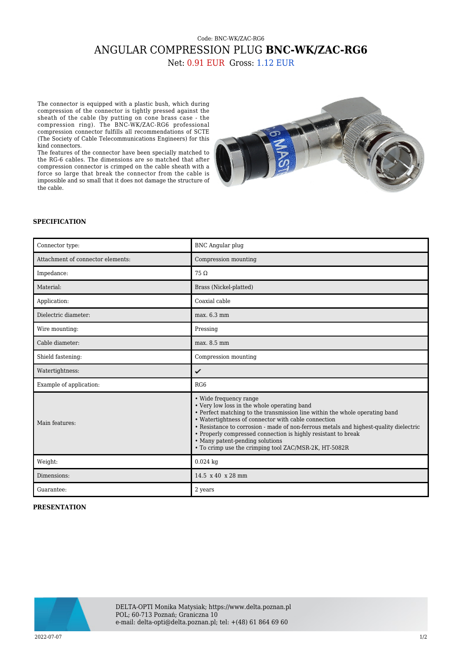## Code: BNC-WK/ZAC-RG6 ANGULAR COMPRESSION PLUG **BNC-WK/ZAC-RG6** Net: 0.91 EUR Gross: 1.12 EUR

The connector is equipped with a plastic bush, which during compression of the connector is tightly pressed against the sheath of the cable (by putting on cone brass case - the compression ring). The BNC-WK/ZAC-RG6 professional compression connector fulfills all recommendations of SCTE (The Society of Cable Telecommunications Engineers) for this kind connectors.

The features of the connector have been specially matched to the RG-6 cables. The dimensions are so matched that after compression connector is crimped on the cable sheath with a force so large that break the connector from the cable is impossible and so small that it does not damage the structure of the cable.



## **SPECIFICATION**

| Connector type:                   | <b>BNC</b> Angular plug                                                                                                                                                                                                                                                                                                                                                                                                                                           |
|-----------------------------------|-------------------------------------------------------------------------------------------------------------------------------------------------------------------------------------------------------------------------------------------------------------------------------------------------------------------------------------------------------------------------------------------------------------------------------------------------------------------|
| Attachment of connector elements: | Compression mounting                                                                                                                                                                                                                                                                                                                                                                                                                                              |
| Impedance:                        | $75\Omega$                                                                                                                                                                                                                                                                                                                                                                                                                                                        |
| Material:                         | Brass (Nickel-platted)                                                                                                                                                                                                                                                                                                                                                                                                                                            |
| Application:                      | Coaxial cable                                                                                                                                                                                                                                                                                                                                                                                                                                                     |
| Dielectric diameter:              | max. 6.3 mm                                                                                                                                                                                                                                                                                                                                                                                                                                                       |
| Wire mounting:                    | Pressing                                                                                                                                                                                                                                                                                                                                                                                                                                                          |
| Cable diameter:                   | max. 8.5 mm                                                                                                                                                                                                                                                                                                                                                                                                                                                       |
| Shield fastening:                 | Compression mounting                                                                                                                                                                                                                                                                                                                                                                                                                                              |
| Watertightness:                   | ✓                                                                                                                                                                                                                                                                                                                                                                                                                                                                 |
| Example of application:           | RG <sub>6</sub>                                                                                                                                                                                                                                                                                                                                                                                                                                                   |
| Main features:                    | • Wide frequency range<br>• Very low loss in the whole operating band<br>• Perfect matching to the transmission line within the whole operating band<br>• Watertightness of connector with cable connection<br>• Resistance to corrosion - made of non-ferrous metals and highest-quality dielectric<br>• Properly compressed connection is highly resistant to break<br>• Many patent-pending solutions<br>• To crimp use the crimping tool ZAC/MSR-2K, HT-5082R |
| Weight:                           | $0.024$ kg                                                                                                                                                                                                                                                                                                                                                                                                                                                        |
| Dimensions:                       | $14.5 \times 40 \times 28$ mm                                                                                                                                                                                                                                                                                                                                                                                                                                     |
| Guarantee:                        | 2 years                                                                                                                                                                                                                                                                                                                                                                                                                                                           |

## **PRESENTATION**



DELTA-OPTI Monika Matysiak; https://www.delta.poznan.pl POL; 60-713 Poznań; Graniczna 10 e-mail: delta-opti@delta.poznan.pl; tel: +(48) 61 864 69 60